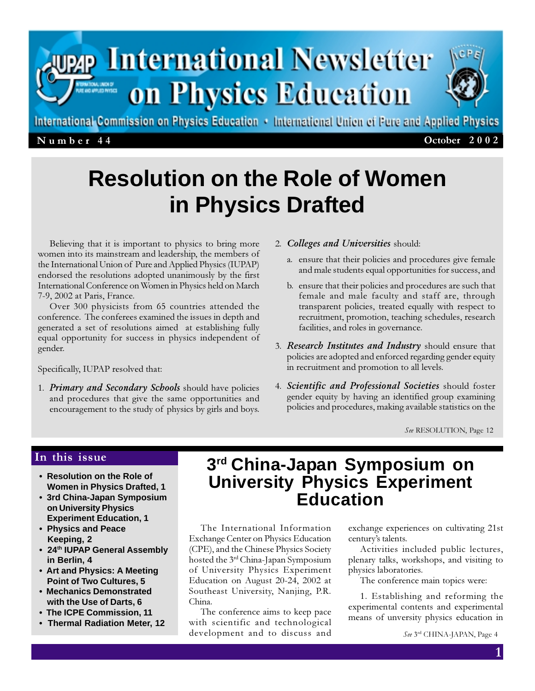

## Number 44 October 2002

# **Resolution on the Role of Women in Physics Drafted**

Believing that it is important to physics to bring more women into its mainstream and leadership, the members of the International Union of Pure and Applied Physics (IUPAP) endorsed the resolutions adopted unanimously by the first International Conference on Women in Physics held on March 7-9, 2002 at Paris, France.

Over 300 physicists from 65 countries attended the conference. The conferees examined the issues in depth and generated a set of resolutions aimed at establishing fully equal opportunity for success in physics independent of gender.

Specifically, IUPAP resolved that:

1. Primary and Secondary Schools should have policies and procedures that give the same opportunities and encouragement to the study of physics by girls and boys.

## 2. Colleges and Universities should:

- a. ensure that their policies and procedures give female and male students equal opportunities for success, and
- b. ensure that their policies and procedures are such that female and male faculty and staff are, through transparent policies, treated equally with respect to recruitment, promotion, teaching schedules, research facilities, and roles in governance.
- 3. Research Institutes and Industry should ensure that policies are adopted and enforced regarding gender equity in recruitment and promotion to all levels.
- 4. Scientific and Professional Societies should foster gender equity by having an identified group examining policies and procedures, making available statistics on the

See RESOLUTION, Page 12

## In this issue

- **Resolution on the Role of Women in Physics Drafted, 1**
- **3rd China-Japan Symposium on University Physics Experiment Education, 1**
- **Physics and Peace Keeping, 2**
- **24th IUPAP General Assembly in Berlin, 4**
- **Art and Physics: A Meeting Point of Two Cultures, 5**
- **Mechanics Demonstrated with the Use of Darts, 6**
- **The ICPE Commission, 11**
- **Thermal Radiation Meter, 12**

# **3rd China-Japan Symposium on University Physics Experiment Education**

The International Information Exchange Center on Physics Education (CPE), and the Chinese Physics Society hosted the 3rd China-Japan Symposium of University Physics Experiment Education on August 20-24, 2002 at Southeast University, Nanjing, P.R. China.

The conference aims to keep pace with scientific and technological development and to discuss and exchange experiences on cultivating 21st century's talents.

Activities included public lectures, plenary talks, workshops, and visiting to physics laboratories.

The conference main topics were:

1. Establishing and reforming the experimental contents and experimental means of unversity physics education in

See 3<sup>rd</sup> CHINA-JAPAN, Page 4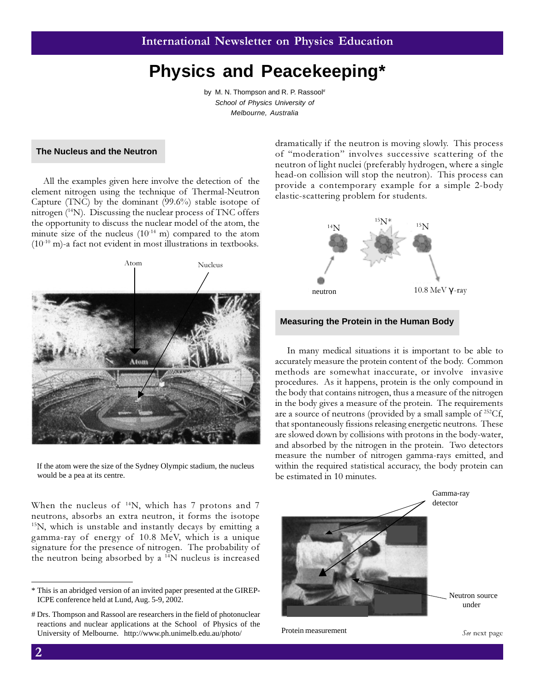# **Physics and Peacekeeping\***

by M. N. Thompson and R. P. Rassool# School of Physics University of Melbourne, Australia

## **The Nucleus and the Neutron**

All the examples given here involve the detection of the element nitrogen using the technique of Thermal-Neutron Capture (TNC) by the dominant  $(99.6\%)$  stable isotope of nitrogen  $(14)$ . Discussing the nuclear process of TNC offers the opportunity to discuss the nuclear model of the atom, the minute size of the nucleus  $(10^{-14} \text{ m})$  compared to the atom  $(10^{-10} \text{ m})$ -a fact not evident in most illustrations in textbooks.



 If the atom were the size of the Sydney Olympic stadium, the nucleus would be a pea at its centre.

When the nucleus of <sup>14</sup>N, which has 7 protons and 7 neutrons, absorbs an extra neutron, it forms the isotope <sup>15</sup>N, which is unstable and instantly decays by emitting a gamma-ray of energy of 10.8 MeV, which is a unique signature for the presence of nitrogen. The probability of the neutron being absorbed by a  $\mathrm{^{14}N}$  nucleus is increased

dramatically if the neutron is moving slowly. This process of "moderation" involves successive scattering of the neutron of light nuclei (preferably hydrogen, where a single head-on collision will stop the neutron). This process can provide a contemporary example for a simple 2-body elastic-scattering problem for students.



## **Measuring the Protein in the Human Body**

In many medical situations it is important to be able to accurately measure the protein content of the body. Common methods are somewhat inaccurate, or involve invasive procedures. As it happens, protein is the only compound in the body that contains nitrogen, thus a measure of the nitrogen in the body gives a measure of the protein. The requirements are a source of neutrons (provided by a small sample of <sup>252</sup>Cf, that spontaneously fissions releasing energetic neutrons. These are slowed down by collisions with protons in the body-water, and absorbed by the nitrogen in the protein. Two detectors measure the number of nitrogen gamma-rays emitted, and within the required statistical accuracy, the body protein can be estimated in 10 minutes.



Protein measurement See next page

<sup>\*</sup> This is an abridged version of an invited paper presented at the GIREP-ICPE conference held at Lund, Aug. 5-9, 2002.

<sup>#</sup> Drs. Thompson and Rassool are researchers in the field of photonuclear reactions and nuclear applications at the School of Physics of the University of Melbourne. http://www.ph.unimelb.edu.au/photo/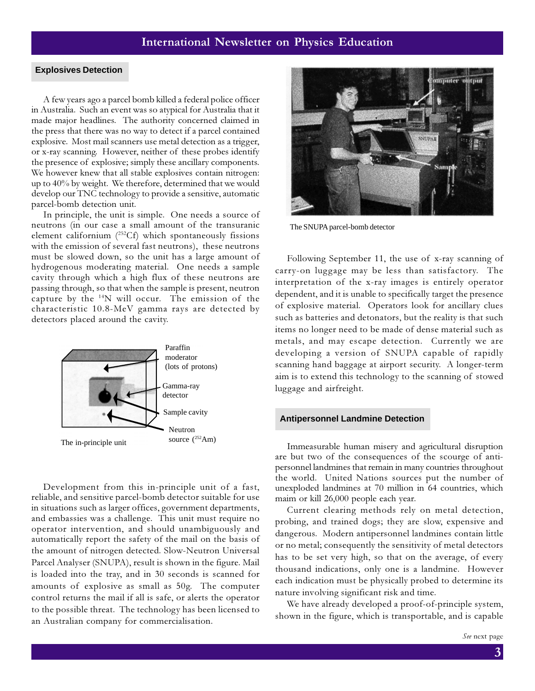## **Explosives Detection**

A few years ago a parcel bomb killed a federal police officer in Australia. Such an event was so atypical for Australia that it made major headlines. The authority concerned claimed in the press that there was no way to detect if a parcel contained explosive. Most mail scanners use metal detection as a trigger, or x-ray scanning. However, neither of these probes identify the presence of explosive; simply these ancillary components. We however knew that all stable explosives contain nitrogen: up to 40% by weight. We therefore, determined that we would develop our TNC technology to provide a sensitive, automatic parcel-bomb detection unit.

In principle, the unit is simple. One needs a source of neutrons (in our case a small amount of the transuranic element californium (<sup>252</sup>Cf) which spontaneously fissions with the emission of several fast neutrons), these neutrons must be slowed down, so the unit has a large amount of hydrogenous moderating material. One needs a sample cavity through which a high flux of these neutrons are passing through, so that when the sample is present, neutron capture by the <sup>14</sup>N will occur. The emission of the characteristic 10.8-MeV gamma rays are detected by detectors placed around the cavity.



Development from this in-principle unit of a fast, reliable, and sensitive parcel-bomb detector suitable for use in situations such as larger offices, government departments, and embassies was a challenge. This unit must require no operator intervention, and should unambiguously and automatically report the safety of the mail on the basis of the amount of nitrogen detected. Slow-Neutron Universal Parcel Analyser (SNUPA), result is shown in the figure. Mail is loaded into the tray, and in 30 seconds is scanned for amounts of explosive as small as 50g. The computer control returns the mail if all is safe, or alerts the operator to the possible threat. The technology has been licensed to an Australian company for commercialisation.



The SNUPA parcel-bomb detector

Following September 11, the use of x-ray scanning of carry-on luggage may be less than satisfactory. The interpretation of the x-ray images is entirely operator dependent, and it is unable to specifically target the presence of explosive material. Operators look for ancillary clues such as batteries and detonators, but the reality is that such items no longer need to be made of dense material such as metals, and may escape detection. Currently we are developing a version of SNUPA capable of rapidly scanning hand baggage at airport security. A longer-term aim is to extend this technology to the scanning of stowed luggage and airfreight.

## **Antipersonnel Landmine Detection**

Immeasurable human misery and agricultural disruption are but two of the consequences of the scourge of antipersonnel landmines that remain in many countries throughout the world. United Nations sources put the number of unexploded landmines at 70 million in 64 countries, which maim or kill 26,000 people each year.

Current clearing methods rely on metal detection, probing, and trained dogs; they are slow, expensive and dangerous. Modern antipersonnel landmines contain little or no metal; consequently the sensitivity of metal detectors has to be set very high, so that on the average, of every thousand indications, only one is a landmine. However each indication must be physically probed to determine its nature involving significant risk and time.

We have already developed a proof-of-principle system, shown in the figure, which is transportable, and is capable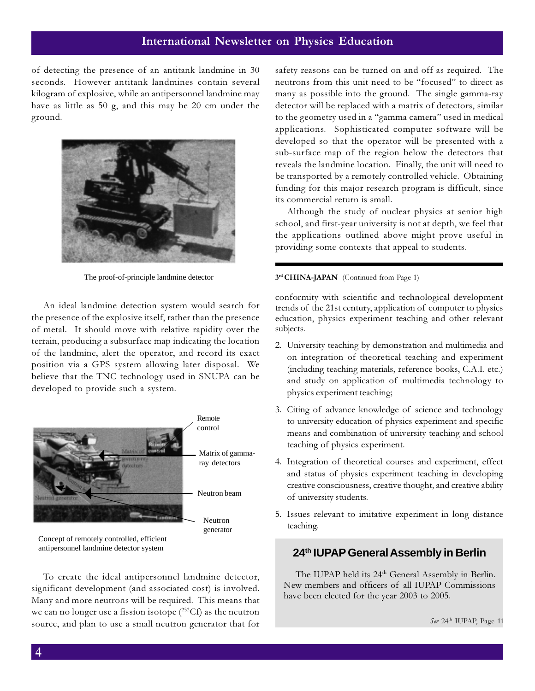of detecting the presence of an antitank landmine in 30 seconds. However antitank landmines contain several kilogram of explosive, while an antipersonnel landmine may have as little as 50 g, and this may be 20 cm under the ground.



The proof-of-principle landmine detector

An ideal landmine detection system would search for the presence of the explosive itself, rather than the presence of metal. It should move with relative rapidity over the terrain, producing a subsurface map indicating the location of the landmine, alert the operator, and record its exact position via a GPS system allowing later disposal. We believe that the TNC technology used in SNUPA can be developed to provide such a system.



Concept of remotely controlled, efficient antipersonnel landmine detector system

To create the ideal antipersonnel landmine detector, significant development (and associated cost) is involved. Many and more neutrons will be required. This means that we can no longer use a fission isotope  $(^{252}Cf)$  as the neutron source, and plan to use a small neutron generator that for

safety reasons can be turned on and off as required. The neutrons from this unit need to be "focused" to direct as many as possible into the ground. The single gamma-ray detector will be replaced with a matrix of detectors, similar to the geometry used in a "gamma camera" used in medical applications. Sophisticated computer software will be developed so that the operator will be presented with a sub-surface map of the region below the detectors that reveals the landmine location. Finally, the unit will need to be transported by a remotely controlled vehicle. Obtaining funding for this major research program is difficult, since its commercial return is small.

Although the study of nuclear physics at senior high school, and first-year university is not at depth, we feel that the applications outlined above might prove useful in providing some contexts that appeal to students.

## 3<sup>rd</sup> CHINA-JAPAN (Continued from Page 1)

conformity with scientific and technological development trends of the 21st century, application of computer to physics education, physics experiment teaching and other relevant subjects.

- 2. University teaching by demonstration and multimedia and on integration of theoretical teaching and experiment (including teaching materials, reference books, C.A.I. etc.) and study on application of multimedia technology to physics experiment teaching;
- 3. Citing of advance knowledge of science and technology to university education of physics experiment and specific means and combination of university teaching and school teaching of physics experiment.
- 4. Integration of theoretical courses and experiment, effect and status of physics experiment teaching in developing creative consciousness, creative thought, and creative ability of university students.
- 5. Issues relevant to imitative experiment in long distance teaching.

## **24th IUPAP General Assembly in Berlin**

The IUPAP held its 24<sup>th</sup> General Assembly in Berlin. New members and officers of all IUPAP Commissions have been elected for the year 2003 to 2005.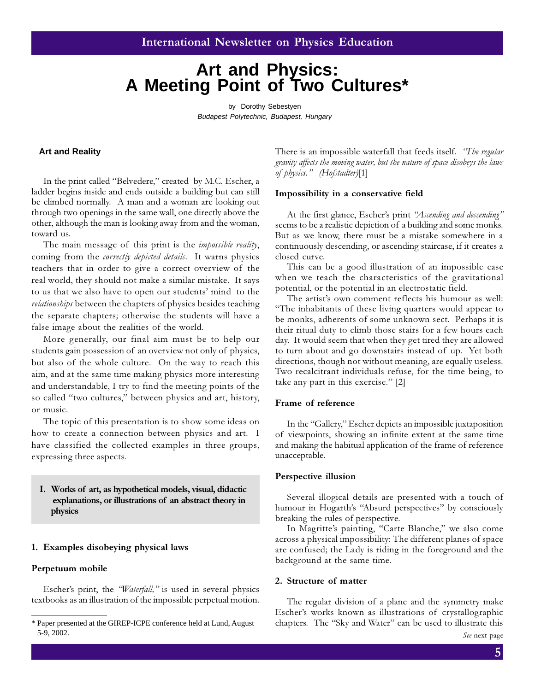# **Art and Physics: A Meeting Point of Two Cultures\***

by Dorothy Sebestyen Budapest Polytechnic, Budapest, Hungary

## **Art and Reality**

In the print called "Belvedere," created by M.C. Escher, a ladder begins inside and ends outside a building but can still be climbed normally. A man and a woman are looking out through two openings in the same wall, one directly above the other, although the man is looking away from and the woman, toward us.

The main message of this print is the *impossible reality*, coming from the *correctly depicted details*. It warns physics teachers that in order to give a correct overview of the real world, they should not make a similar mistake. It says to us that we also have to open our students' mind to the relationships between the chapters of physics besides teaching the separate chapters; otherwise the students will have a false image about the realities of the world.

More generally, our final aim must be to help our students gain possession of an overview not only of physics, but also of the whole culture. On the way to reach this aim, and at the same time making physics more interesting and understandable, I try to find the meeting points of the so called "two cultures," between physics and art, history, or music.

The topic of this presentation is to show some ideas on how to create a connection between physics and art. I have classified the collected examples in three groups, expressing three aspects.

 I. Works of art, as hypothetical models, visual, didactic explanations, or illustrations of an abstract theory in physics

## 1. Examples disobeying physical laws

## Perpetuum mobile

Escher's print, the "Waterfall," is used in several physics textbooks as an illustration of the impossible perpetual motion. There is an impossible waterfall that feeds itself. *'The regular* gravity affects the moving water, but the nature of space disobeys the laws of physics." (Hofstadter)[1]

## Impossibility in a conservative field

At the first glance, Escher's print "Ascending and descending" seems to be a realistic depiction of a building and some monks. But as we know, there must be a mistake somewhere in a continuously descending, or ascending staircase, if it creates a closed curve.

This can be a good illustration of an impossible case when we teach the characteristics of the gravitational potential, or the potential in an electrostatic field.

The artist's own comment reflects his humour as well: "The inhabitants of these living quarters would appear to be monks, adherents of some unknown sect. Perhaps it is their ritual duty to climb those stairs for a few hours each day. It would seem that when they get tired they are allowed to turn about and go downstairs instead of up. Yet both directions, though not without meaning, are equally useless. Two recalcitrant individuals refuse, for the time being, to take any part in this exercise." [2]

## Frame of reference

In the "Gallery," Escher depicts an impossible juxtaposition of viewpoints, showing an infinite extent at the same time and making the habitual application of the frame of reference unacceptable.

## Perspective illusion

Several illogical details are presented with a touch of humour in Hogarth's "Absurd perspectives" by consciously breaking the rules of perspective.

In Magritte's painting, "Carte Blanche," we also come across a physical impossibility: The different planes of space are confused; the Lady is riding in the foreground and the background at the same time.

## 2. Structure of matter

The regular division of a plane and the symmetry make Escher's works known as illustrations of crystallographic \* Paper presented at the GIREP-ICPE conference held at Lund, August chapters. The "Sky and Water" can be used to illustrate this

 $5-9, 2002.$  See next page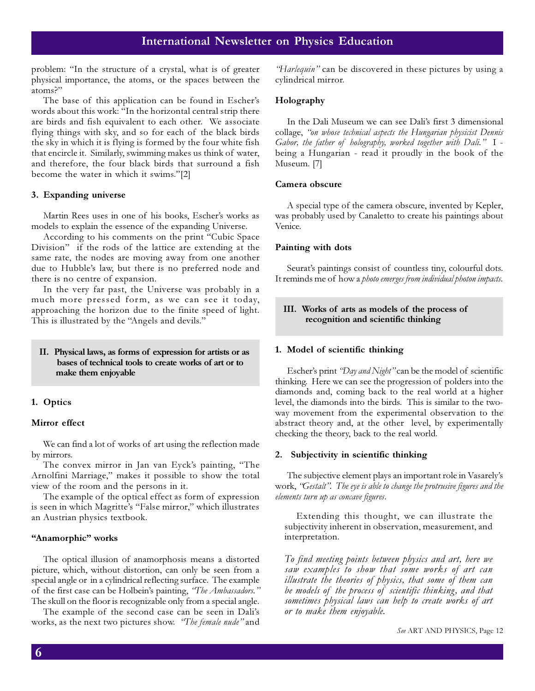problem: "In the structure of a crystal, what is of greater physical importance, the atoms, or the spaces between the atoms?"

The base of this application can be found in Escher's words about this work: "In the horizontal central strip there are birds and fish equivalent to each other. We associate flying things with sky, and so for each of the black birds the sky in which it is flying is formed by the four white fish that encircle it. Similarly, swimming makes us think of water, and therefore, the four black birds that surround a fish become the water in which it swims."[2]

## 3. Expanding universe

Martin Rees uses in one of his books, Escher's works as models to explain the essence of the expanding Universe.

According to his comments on the print "Cubic Space Division" if the rods of the lattice are extending at the same rate, the nodes are moving away from one another due to Hubble's law, but there is no preferred node and there is no centre of expansion.

In the very far past, the Universe was probably in a much more pressed form, as we can see it today, approaching the horizon due to the finite speed of light. This is illustrated by the "Angels and devils."

## II. Physical laws, as forms of expression for artists or as bases of technical tools to create works of art or to make them enjoyable

## 1. Optics

## Mirror effect

We can find a lot of works of art using the reflection made by mirrors.

The convex mirror in Jan van Eyck's painting, "The Arnolfini Marriage," makes it possible to show the total view of the room and the persons in it.

The example of the optical effect as form of expression is seen in which Magritte's "False mirror," which illustrates an Austrian physics textbook.

## "Anamorphic" works

The optical illusion of anamorphosis means a distorted picture, which, without distortion, can only be seen from a special angle or in a cylindrical reflecting surface. The example of the first case can be Holbein's painting, "The Ambassadors." The skull on the floor is recognizable only from a special angle.

The example of the second case can be seen in Dali's works, as the next two pictures show. "The female nude" and

"Harlequin" can be discovered in these pictures by using a cylindrical mirror.

## Holography

In the Dali Museum we can see Dali's first 3 dimensional collage, "on whose technical aspects the Hungarian physicist Dennis Gabor, the father of holography, worked together with  $Dali$ ."  $I$ being a Hungarian - read it proudly in the book of the Museum. [7]

## Camera obscure

A special type of the camera obscure, invented by Kepler, was probably used by Canaletto to create his paintings about Venice.

## Painting with dots

Seurat's paintings consist of countless tiny, colourful dots. It reminds me of how a photo emerges from individual photon impacts.

## III. Works of arts as models of the process of recognition and scientific thinking

## 1. Model of scientific thinking

Escher's print "Day and Night" can be the model of scientific thinking. Here we can see the progression of polders into the diamonds and, coming back to the real world at a higher level, the diamonds into the birds. This is similar to the twoway movement from the experimental observation to the abstract theory and, at the other level, by experimentally checking the theory, back to the real world.

## 2. Subjectivity in scientific thinking

The subjective element plays an important role in Vasarely's work, "Gestalt". The eye is able to change the protrusive figures and the elements turn up as concave figures.

Extending this thought, we can illustrate the subjectivity inherent in observation, measurement, and interpretation.

To find meeting points between physics and art, here we saw examples to show that some works of art can illustrate the theories of physics, that some of them can be models of the process of scientific thinking, and that sometimes physical laws can help to create works of art or to make them enjoyable.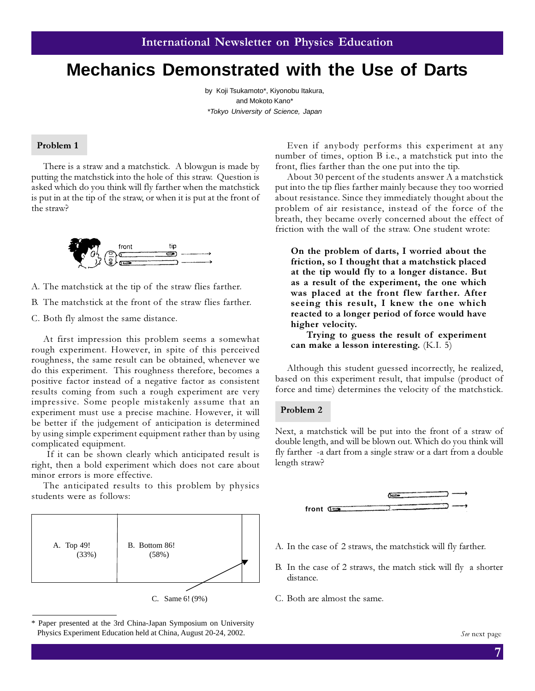## **Mechanics Demonstrated with the Use of Darts**

by Koji Tsukamoto\*, Kiyonobu Itakura, and Mokoto Kano\* \*Tokyo University of Science, Japan

## Problem 1

There is a straw and a matchstick. A blowgun is made by putting the matchstick into the hole of this straw. Question is asked which do you think will fly farther when the matchstick is put in at the tip of the straw, or when it is put at the front of the straw?



- A. The matchstick at the tip of the straw flies farther.
- B. The matchstick at the front of the straw flies farther.
- C. Both fly almost the same distance.

At first impression this problem seems a somewhat rough experiment. However, in spite of this perceived roughness, the same result can be obtained, whenever we do this experiment. This roughness therefore, becomes a positive factor instead of a negative factor as consistent results coming from such a rough experiment are very impressive. Some people mistakenly assume that an experiment must use a precise machine. However, it will be better if the judgement of anticipation is determined by using simple experiment equipment rather than by using complicated equipment.

 If it can be shown clearly which anticipated result is right, then a bold experiment which does not care about minor errors is more effective.

The anticipated results to this problem by physics students were as follows:



Paper presented at the 3rd China-Japan Symposium on University Physics Experiment Education held at China, August 20-24, 2002.

Even if anybody performs this experiment at any number of times, option B i.e., a matchstick put into the front, flies farther than the one put into the tip.

About 30 percent of the students answer A a matchstick put into the tip flies farther mainly because they too worried about resistance. Since they immediately thought about the problem of air resistance, instead of the force of the breath, they became overly concerned about the effect of friction with the wall of the straw. One student wrote:

On the problem of darts, I worried about the friction, so I thought that a matchstick placed at the tip would fly to a longer distance. But as a result of the experiment, the one which was placed at the front flew farther. After seeing this result, I knew the one which reacted to a longer period of force would have higher velocity.

Trying to guess the result of experiment can make a lesson interesting. (K.I. 5)

Although this student guessed incorrectly, he realized, based on this experiment result, that impulse (product of force and time) determines the velocity of the matchstick.

## Problem 2

Next, a matchstick will be put into the front of a straw of double length, and will be blown out. Which do you think will fly farther -a dart from a single straw or a dart from a double length straw?



- A. In the case of 2 straws, the matchstick will fly farther.
- B. In the case of 2 straws, the match stick will fly a shorter distance.
- C. Both are almost the same.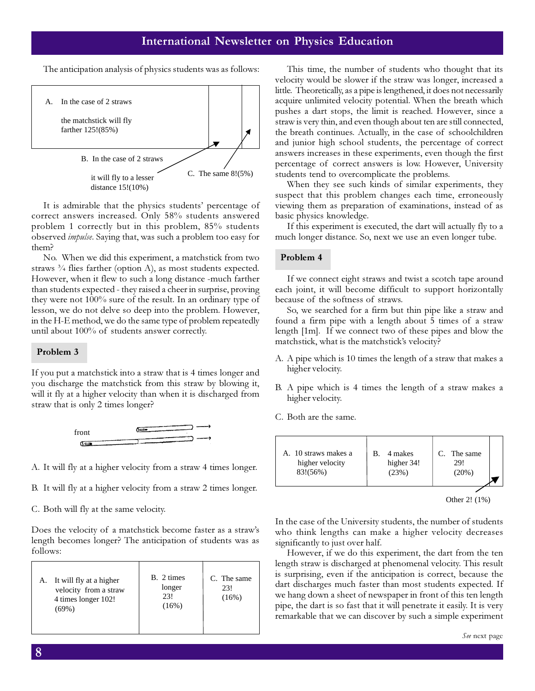The anticipation analysis of physics students was as follows:



It is admirable that the physics students' percentage of correct answers increased. Only 58% students answered problem 1 correctly but in this problem, 85% students observed impulse. Saying that, was such a problem too easy for them?

No. When we did this experiment, a matchstick from two straws ¾ flies farther (option A), as most students expected. However, when it flew to such a long distance -much farther than students expected - they raised a cheer in surprise, proving they were not 100% sure of the result. In an ordinary type of lesson, we do not delve so deep into the problem. However, in the H-E method, we do the same type of problem repeatedly until about 100% of students answer correctly.

## Problem 3

If you put a matchstick into a straw that is 4 times longer and you discharge the matchstick from this straw by blowing it, will it fly at a higher velocity than when it is discharged from straw that is only 2 times longer?



A. It will fly at a higher velocity from a straw 4 times longer.

B. It will fly at a higher velocity from a straw 2 times longer.

C. Both will fly at the same velocity.

Does the velocity of a matchstick become faster as a straw's length becomes longer? The anticipation of students was as follows:

| A. It will fly at a higher<br>velocity from a straw<br>4 times longer 102!<br>(69%) | B. 2 times<br>longer<br>23!<br>$(16\%)$ | C. The same<br>23!<br>$(16\%)$ |
|-------------------------------------------------------------------------------------|-----------------------------------------|--------------------------------|
|                                                                                     |                                         |                                |

This time, the number of students who thought that its velocity would be slower if the straw was longer, increased a little. Theoretically, as a pipe is lengthened, it does not necessarily acquire unlimited velocity potential. When the breath which pushes a dart stops, the limit is reached. However, since a straw is very thin, and even though about ten are still connected, the breath continues. Actually, in the case of schoolchildren and junior high school students, the percentage of correct answers increases in these experiments, even though the first percentage of correct answers is low. However, University students tend to overcomplicate the problems.

When they see such kinds of similar experiments, they suspect that this problem changes each time, erroneously viewing them as preparation of examinations, instead of as basic physics knowledge.

If this experiment is executed, the dart will actually fly to a much longer distance. So, next we use an even longer tube.

## Problem 4

If we connect eight straws and twist a scotch tape around each joint, it will become difficult to support horizontally because of the softness of straws.

So, we searched for a firm but thin pipe like a straw and found a firm pipe with a length about 5 times of a straw length [1m]. If we connect two of these pipes and blow the matchstick, what is the matchstick's velocity?

- A. A pipe which is 10 times the length of a straw that makes a higher velocity.
- B. A pipe which is 4 times the length of a straw makes a higher velocity.
- C. Both are the same.



In the case of the University students, the number of students who think lengths can make a higher velocity decreases significantly to just over half.

However, if we do this experiment, the dart from the ten length straw is discharged at phenomenal velocity. This result is surprising, even if the anticipation is correct, because the dart discharges much faster than most students expected. If we hang down a sheet of newspaper in front of this ten length pipe, the dart is so fast that it will penetrate it easily. It is very remarkable that we can discover by such a simple experiment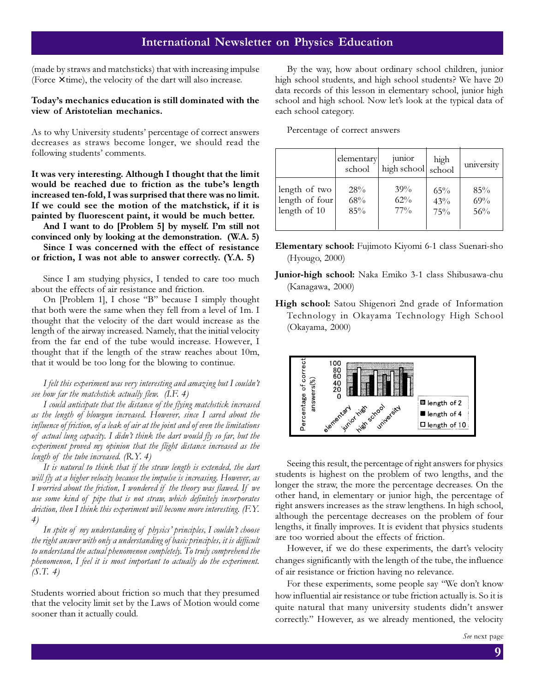(made by straws and matchsticks) that with increasing impulse (Force  $\times$  time), the velocity of the dart will also increase.

## Today's mechanics education is still dominated with the view of Aristotelian mechanics.

As to why University students' percentage of correct answers decreases as straws become longer, we should read the following students' comments.

It was very interesting. Although I thought that the limit would be reached due to friction as the tube's length increased ten-fold, I was surprised that there was no limit. If we could see the motion of the matchstick, if it is painted by fluorescent paint, it would be much better.

And I want to do [Problem 5] by myself. I'm still not convinced only by looking at the demonstration. (W.A. 5)

Since I was concerned with the effect of resistance or friction, I was not able to answer correctly. (Y.A. 5)

Since I am studying physics, I tended to care too much about the effects of air resistance and friction.

On [Problem 1], I chose "B" because I simply thought that both were the same when they fell from a level of 1m. I thought that the velocity of the dart would increase as the length of the airway increased. Namely, that the initial velocity from the far end of the tube would increase. However, I thought that if the length of the straw reaches about 10m, that it would be too long for the blowing to continue.

I felt this experiment was very interesting and amazing but I couldn't see how far the matchstick actually flew.  $(I.F. 4)$ 

I could anticipate that the distance of the flying matchstick increased as the length of blowgun increased. However, since I cared about the influence of friction, of a leak of air at the joint and of even the limitations of actual lung capacity. I didn't think the dart would fly so far, but the experiment proved my opinion that the flight distance increased as the length of the tube increased.  $(R, Y, 4)$ 

It is natural to think that if the straw length is extended, the dart will fly at a higher velocity because the impulse is increasing. However, as I worried about the friction, I wondered if the theory was flawed. If we use some kind of pipe that is not straw, which definitely incorporates driction, then I think this experiment will become more interesting.  $(F.Y.$ 4)

In spite of my understanding of physics' principles, I couldn't choose the right answer with only a understanding of basic principles, it is difficult to understand the actual phenomenon completely. To truly comprehend the phenomenon, I feel it is most important to actually do the experiment.  $(S.T. 4)$ 

Students worried about friction so much that they presumed that the velocity limit set by the Laws of Motion would come sooner than it actually could.

By the way, how about ordinary school children, junior high school students, and high school students? We have 20 data records of this lesson in elementary school, junior high school and high school. Now let's look at the typical data of each school category.

Percentage of correct answers

|                | elementary<br>school | junior<br>high school | high<br>school | university |
|----------------|----------------------|-----------------------|----------------|------------|
| length of two  | 28%                  | 39%                   | 65%            | 85%        |
| length of four | 68%                  | $62\%$                | 43%            | 69%        |
| length of 10   | 85%                  | $77\%$                | 75%            | 56%        |

- Elementary school: Fujimoto Kiyomi 6-1 class Suenari-sho (Hyougo, 2000)
- Junior-high school: Naka Emiko 3-1 class Shibusawa-chu (Kanagawa, 2000)
- High school: Satou Shigenori 2nd grade of Information Technology in Okayama Technology High School (Okayama, 2000)



Seeing this result, the percentage of right answers for physics students is highest on the problem of two lengths, and the longer the straw, the more the percentage decreases. On the other hand, in elementary or junior high, the percentage of right answers increases as the straw lengthens. In high school, although the percentage decreases on the problem of four lengths, it finally improves. It is evident that physics students are too worried about the effects of friction.

However, if we do these experiments, the dart's velocity changes significantly with the length of the tube, the influence of air resistance or friction having no relevance.

For these experiments, some people say "We don't know how influential air resistance or tube friction actually is. So it is quite natural that many university students didn't answer correctly." However, as we already mentioned, the velocity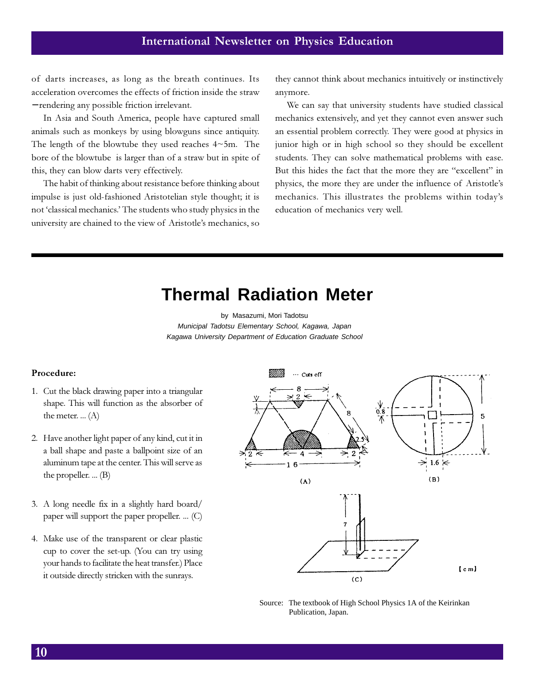of darts increases, as long as the breath continues. Its acceleration overcomes the effects of friction inside the straw − rendering any possible friction irrelevant.

In Asia and South America, people have captured small animals such as monkeys by using blowguns since antiquity. The length of the blowtube they used reaches  $4~5m$ . The bore of the blowtube is larger than of a straw but in spite of this, they can blow darts very effectively.

The habit of thinking about resistance before thinking about impulse is just old-fashioned Aristotelian style thought; it is not 'classical mechanics.' The students who study physics in the university are chained to the view of Aristotle's mechanics, so

they cannot think about mechanics intuitively or instinctively anymore.

We can say that university students have studied classical mechanics extensively, and yet they cannot even answer such an essential problem correctly. They were good at physics in junior high or in high school so they should be excellent students. They can solve mathematical problems with ease. But this hides the fact that the more they are "excellent" in physics, the more they are under the influence of Aristotle's mechanics. This illustrates the problems within today's education of mechanics very well.

# **Thermal Radiation Meter**

by Masazumi, Mori Tadotsu Municipal Tadotsu Elementary School, Kagawa, Japan Kagawa University Department of Education Graduate School

## Procedure:

- 1. Cut the black drawing paper into a triangular shape. This will function as the absorber of the meter. ...  $(A)$
- 2. Have another light paper of any kind, cut it in a ball shape and paste a ballpoint size of an aluminum tape at the center. This will serve as the propeller. ... (B)
- 3. A long needle fix in a slightly hard board/ paper will support the paper propeller. ... (C)
- 4. Make use of the transparent or clear plastic cup to cover the set-up. (You can try using your hands to facilitate the heat transfer.) Place it outside directly stricken with the sunrays.



Source: The textbook of High School Physics 1A of the Keirinkan Publication, Japan.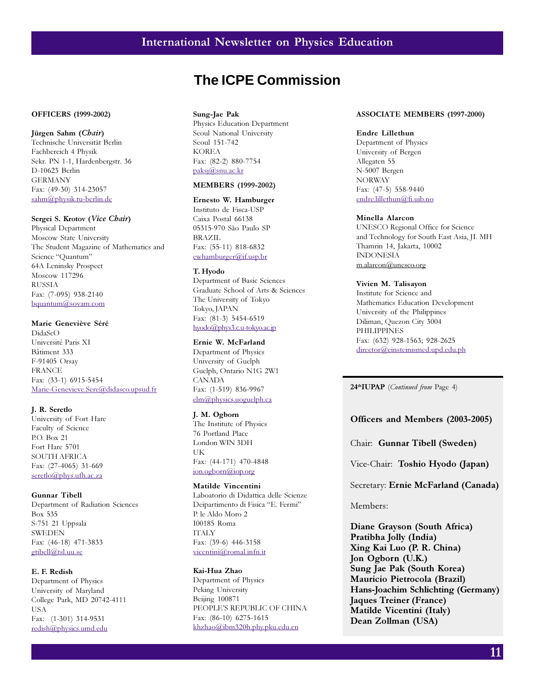## **The ICPE Commission**

## OFFICERS (1999-2002)

#### Jürgen Sahm (Chair)

Technische Universität Berlin Fachbereich 4 Physik Sekr. PN 1-1, Hardenbergstr. 36 D-10623 Berlin GERMANY Fax: (49-30) 314-23057 sahm@physik.tu-berlin.de

## Sergei S. Krotov (Vice Chair)

Physical Department Moscow State University The Student Magazine of Mathematics and Science "Quantum" 64A Leninsky Prospect Moscow 117296 RUSSIA Fax: (7-095) 938-2140 bquantum@sovam.com

#### Marie Geneviève Séré

DidaScO Université Paris XI Bâtiment 333 F-91405 Orsay FRANCE Fax: (33-1) 6915-5454 Marie-Genevieve.Sere@didasco.upsud.fr

#### J. R. Seretlo

University of Fort Hare Faculty of Science P.O. Box 21 Fort Hare 5701 SOUTH AFRICA Fax: (27-4065) 31-669 seretlo@phys.ufh.ac.za

#### Gunnar Tibell

Department of Radiation Sciences Box 535 S-751 21 Uppsala SWEDEN Fax: (46-18) 471-3833 gtibell@tsl.uu.se

## E. F. Redish

Department of Physics University of Maryland College Park, MD 20742-4111 USA Fax: (1-301) 314-9531 redish@physics.umd.edu

## Sung-Jae Pak

Physics Education Department Seoul National University Seoul 151-742 KOREA Fax: (82-2) 880-7754 paksj@snu.ac.kr

#### MEMBERS (1999-2002)

### Ernesto W. Hamburger

Instituto de Fisca-USP Caixa Postal 66138 05315-970 São Paulo SP BRAZIL Fax: (55-11) 818-6832 ewhamburger@if.usp.br

#### T. Hyodo

Department of Basic Sciences Graduate School of Arts & Sciences The University of Tokyo Tokyo, JAPAN Fax: (81-3) 5454-6519 hyodo@phys3.c.u-tokyo.ac.jp

## Ernie W. McFarland

Department of Physics University of Guelph Guelph, Ontario N1G 2W1 CANADA Fax: (1-519) 836-9967 elm@physics.uoguelph.ca

#### J. M. Ogborn

The Institute of Physics 76 Portland Place London WIN 3DH UK Fax: (44-171) 470-4848 jon.ogborn@iop.org

#### Matilde Vincentini

Laboatorio di Didattica delle Scienze Deipartimento di Fisica "E. Fermi" P. le Aldo Moro 2 I00185 Roma ITALY Fax: (39-6) 446-3158 vicentini@romal.infn.it

## Kai-Hua Zhao

Department of Physics Peking University Beijing 100871 PEOPLE'S REPUBLIC OF CHINA Fax: (86-10) 6275-1615 khzhao@ibm320h.phy.pku.edu.cn

## ASSOCIATE MEMBERS (1997-2000)

#### Endre Lillethun

Department of Physics University of Bergen Allegaten 55 N-5007 Bergen NORWAY Fax: (47-5) 558-9440 endre.lillethun@fi.uib.no

#### Minella Alarcon

UNESCO Regional Office for Science and Technology for South East Asia, JI. MH Thamrin 14, Jakarta, 10002 INDONESIA m.alarcon@unesco.org

## Vivien M. Talisayon

Institute for Science and Mathematics Education Development University of the Philippines Diliman, Quezon City 3004 PHILIPPINES Fax: (632) 928-1563; 928-2625 director@einsteinismed.upd.edu.ph

24<sup>th</sup>IUPAP (Continued from Page 4)

## Officers and Members (2003-2005)

Chair: Gunnar Tibell (Sweden)

Vice-Chair: Toshio Hyodo (Japan)

Secretary: Ernie McFarland (Canada)

## Members:

Diane Grayson (South Africa) Pratibha Jolly (India) Xing Kai Luo (P. R. China) Jon Ogborn (U.K.) Sung Jae Pak (South Korea) Mauricio Pietrocola (Brazil) Hans-Joachim Schlichting (Germany) Jaques Treiner (France) Matilde Vicentini (Italy) Dean Zollman (USA)